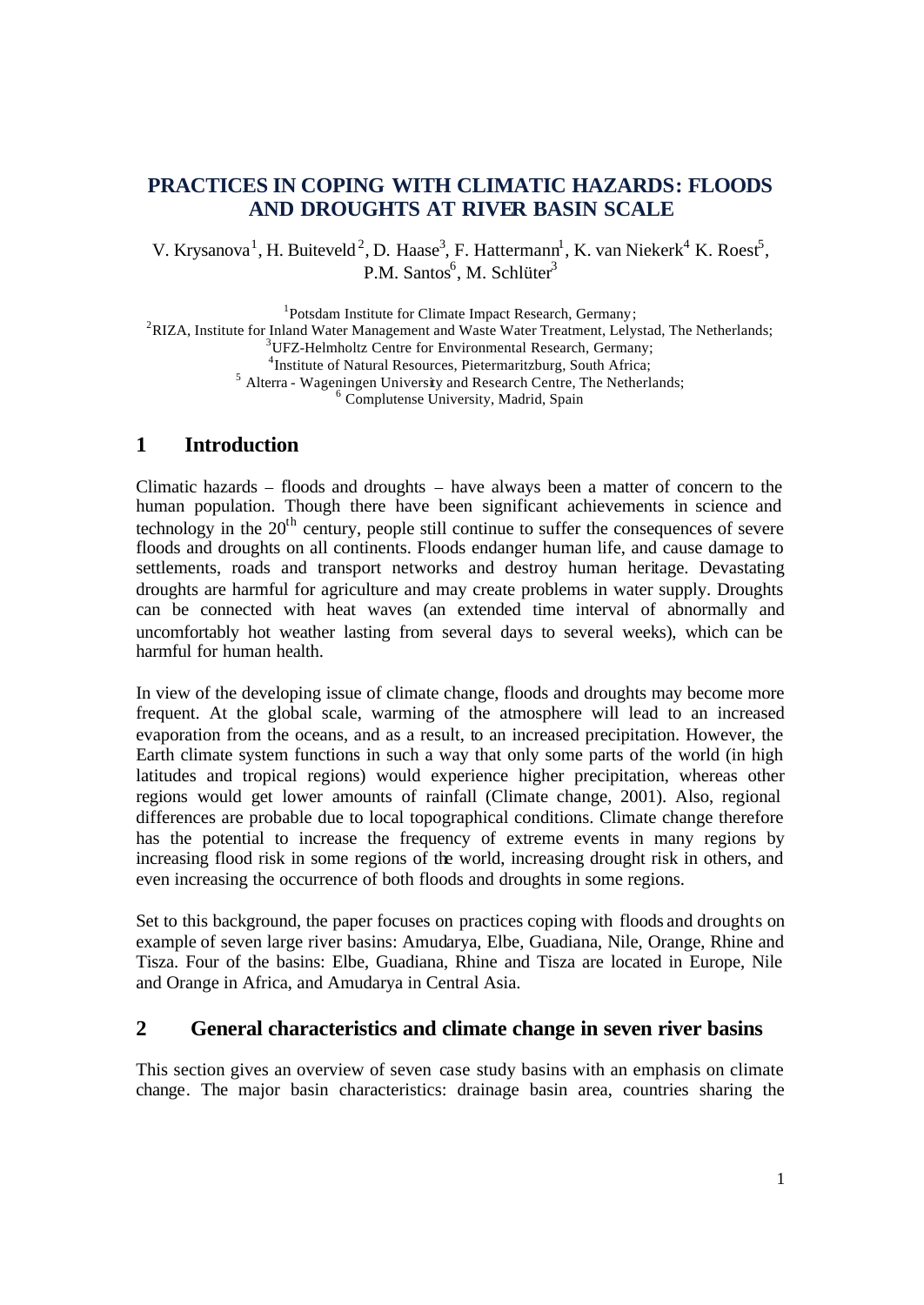# **PRACTICES IN COPING WITH CLIMATIC HAZARDS: FLOODS AND DROUGHTS AT RIVER BASIN SCALE**

V. Krysanova<sup>1</sup>, H. Buiteveld<sup>2</sup>, D. Haase<sup>3</sup>, F. Hattermann<sup>1</sup>, K. van Niekerk<sup>4</sup> K. Roest<sup>5</sup>, P.M. Santos<sup>6</sup>, M. Schlüter<sup>3</sup>

<sup>1</sup>Potsdam Institute for Climate Impact Research, Germany;

<sup>2</sup>RIZA, Institute for Inland Water Management and Waste Water Treatment, Lelystad, The Netherlands;

<sup>3</sup>UFZ-Helmholtz Centre for Environmental Research, Germany;

4 Institute of Natural Resources, Pietermaritzburg, South Africa;

<sup>5</sup> Alterra - Wageningen University and Research Centre, The Netherlands;

<sup>6</sup> Complutense University, Madrid, Spain

## **1 Introduction**

Climatic hazards – floods and droughts – have always been a matter of concern to the human population. Though there have been significant achievements in science and technology in the  $20<sup>th</sup>$  century, people still continue to suffer the consequences of severe floods and droughts on all continents. Floods endanger human life, and cause damage to settlements, roads and transport networks and destroy human heritage. Devastating droughts are harmful for agriculture and may create problems in water supply. Droughts can be connected with heat waves (an extended time interval of abnormally and uncomfortably hot weather lasting from several days to several weeks), which can be harmful for human health.

In view of the developing issue of climate change, floods and droughts may become more frequent. At the global scale, warming of the atmosphere will lead to an increased evaporation from the oceans, and as a result, to an increased precipitation. However, the Earth climate system functions in such a way that only some parts of the world (in high latitudes and tropical regions) would experience higher precipitation, whereas other regions would get lower amounts of rainfall (Climate change, 2001). Also, regional differences are probable due to local topographical conditions. Climate change therefore has the potential to increase the frequency of extreme events in many regions by increasing flood risk in some regions of the world, increasing drought risk in others, and even increasing the occurrence of both floods and droughts in some regions.

Set to this background, the paper focuses on practices coping with floods and droughts on example of seven large river basins: Amudarya, Elbe, Guadiana, Nile, Orange, Rhine and Tisza. Four of the basins: Elbe, Guadiana, Rhine and Tisza are located in Europe, Nile and Orange in Africa, and Amudarya in Central Asia.

## **2 General characteristics and climate change in seven river basins**

This section gives an overview of seven case study basins with an emphasis on climate change. The major basin characteristics: drainage basin area, countries sharing the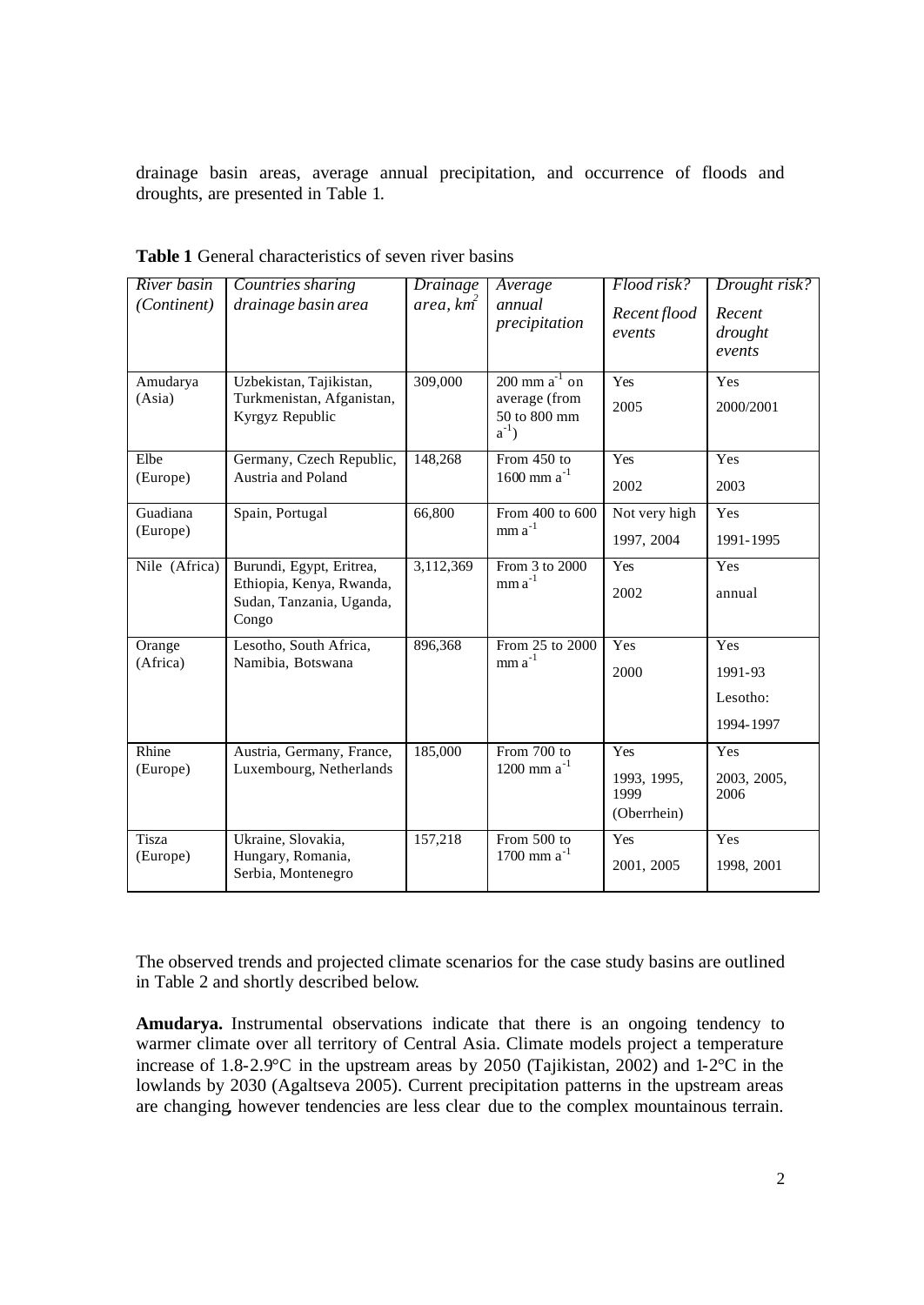drainage basin areas, average annual precipitation, and occurrence of floods and droughts, are presented in Table 1.

| River basin<br>(Continent) | Countries sharing<br>drainage basin area                                                  | Drainage<br>area, km <sup>2</sup> | Average<br>annual<br>precipitation                                  | Flood risk?<br>Recent flood<br>events     | Drought risk?<br>Recent<br>drought<br>events |
|----------------------------|-------------------------------------------------------------------------------------------|-----------------------------------|---------------------------------------------------------------------|-------------------------------------------|----------------------------------------------|
| Amudarya<br>(Asia)         | Uzbekistan, Tajikistan,<br>Turkmenistan, Afganistan,<br>Kyrgyz Republic                   | 309,000                           | $200$ mm $a^{-1}$ on<br>average (from<br>50 to 800 mm<br>$a^{-1}$ ) | Yes<br>2005                               | Yes<br>2000/2001                             |
| Elbe<br>(Europe)           | Germany, Czech Republic,<br>Austria and Poland                                            | 148,268                           | From 450 to<br>$1600$ mm $a^{-1}$                                   | Yes<br>2002                               | Yes<br>2003                                  |
| Guadiana<br>(Europe)       | Spain, Portugal                                                                           | 66,800                            | From 400 to 600<br>$mm a^{-1}$                                      | Not very high<br>1997, 2004               | Yes<br>1991-1995                             |
| Nile (Africa)              | Burundi, Egypt, Eritrea,<br>Ethiopia, Kenya, Rwanda,<br>Sudan, Tanzania, Uganda,<br>Congo | 3,112,369                         | From 3 to 2000<br>$mma^{-1}$                                        | Yes<br>2002                               | Yes<br>annual                                |
| Orange<br>(Africa)         | Lesotho, South Africa,<br>Namibia. Botswana                                               | 896,368                           | From 25 to 2000<br>$mm a^{-1}$                                      | Yes<br>2000                               | Yes<br>1991-93<br>Lesotho:<br>1994-1997      |
| Rhine<br>(Europe)          | Austria, Germany, France,<br>Luxembourg, Netherlands                                      | 185,000                           | From 700 to<br>1200 mm $a^{-1}$                                     | Yes<br>1993, 1995,<br>1999<br>(Oberrhein) | Yes<br>2003, 2005,<br>2006                   |
| Tisza<br>(Europe)          | Ukraine, Slovakia,<br>Hungary, Romania,<br>Serbia, Montenegro                             | 157,218                           | From 500 to<br>1700 mm $a^{-1}$                                     | Yes<br>2001, 2005                         | Yes<br>1998, 2001                            |

**Table 1** General characteristics of seven river basins

The observed trends and projected climate scenarios for the case study basins are outlined in Table 2 and shortly described below.

**Amudarya.** Instrumental observations indicate that there is an ongoing tendency to warmer climate over all territory of Central Asia. Climate models project a temperature increase of 1.8-2.9°C in the upstream areas by 2050 (Tajikistan, 2002) and 1-2°C in the lowlands by 2030 (Agaltseva 2005). Current precipitation patterns in the upstream areas are changing, however tendencies are less clear due to the complex mountainous terrain.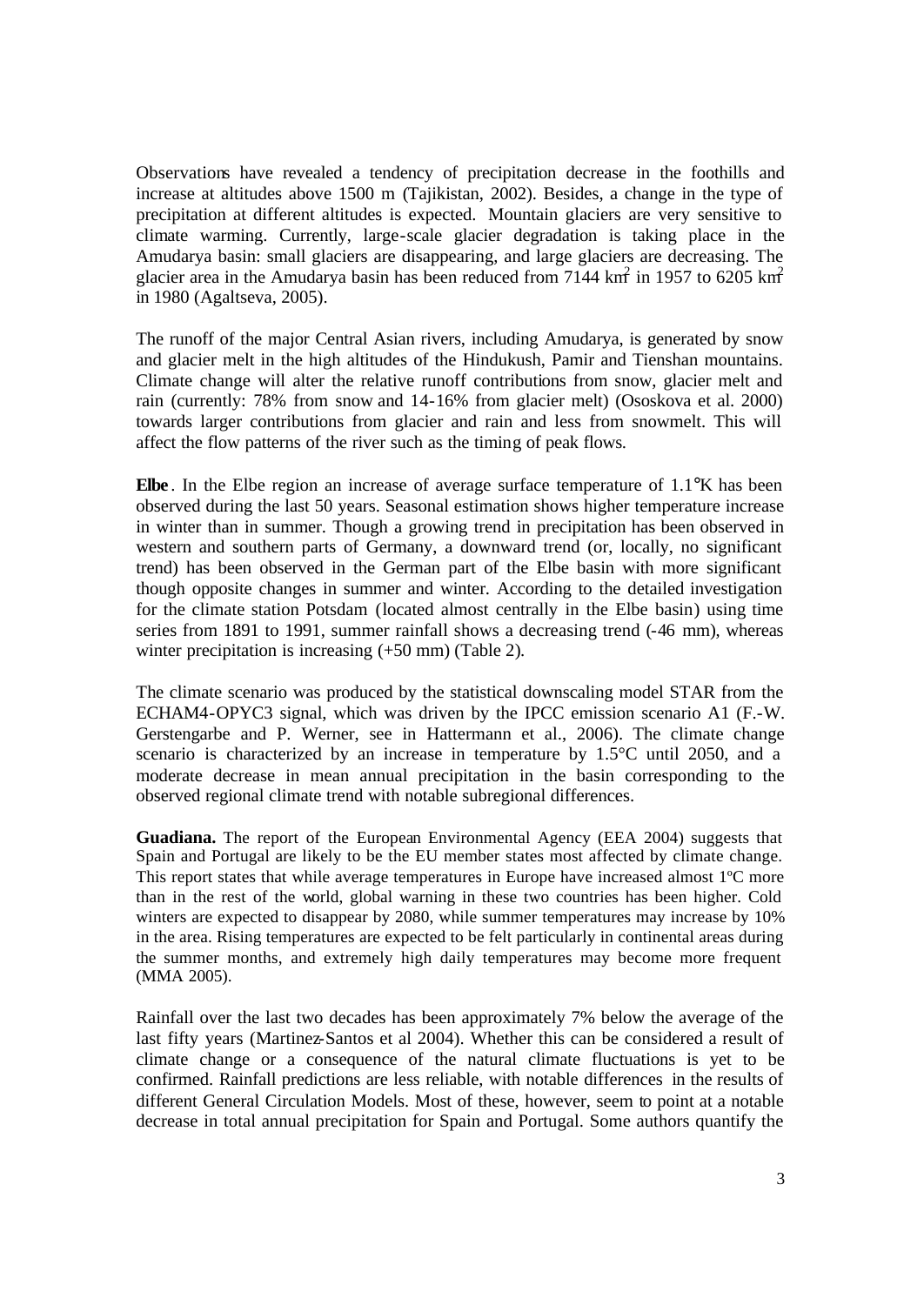Observations have revealed a tendency of precipitation decrease in the foothills and increase at altitudes above 1500 m (Tajikistan, 2002). Besides, a change in the type of precipitation at different altitudes is expected. Mountain glaciers are very sensitive to climate warming. Currently, large-scale glacier degradation is taking place in the Amudarya basin: small glaciers are disappearing, and large glaciers are decreasing. The glacier area in the Amudarya basin has been reduced from 7144 km<sup>2</sup> in 1957 to 6205 km<sup>2</sup> in 1980 (Agaltseva, 2005).

The runoff of the major Central Asian rivers, including Amudarya, is generated by snow and glacier melt in the high altitudes of the Hindukush, Pamir and Tienshan mountains. Climate change will alter the relative runoff contributions from snow, glacier melt and rain (currently: 78% from snow and 14-16% from glacier melt) (Ososkova et al. 2000) towards larger contributions from glacier and rain and less from snowmelt. This will affect the flow patterns of the river such as the timing of peak flows.

**Elbe** . In the Elbe region an increase of average surface temperature of 1.1°K has been observed during the last 50 years. Seasonal estimation shows higher temperature increase in winter than in summer. Though a growing trend in precipitation has been observed in western and southern parts of Germany, a downward trend (or, locally, no significant trend) has been observed in the German part of the Elbe basin with more significant though opposite changes in summer and winter. According to the detailed investigation for the climate station Potsdam (located almost centrally in the Elbe basin) using time series from 1891 to 1991, summer rainfall shows a decreasing trend (-46 mm), whereas winter precipitation is increasing  $(+50 \text{ mm})$  (Table 2).

The climate scenario was produced by the statistical downscaling model STAR from the ECHAM4-OPYC3 signal, which was driven by the IPCC emission scenario A1 (F.-W. Gerstengarbe and P. Werner, see in Hattermann et al., 2006). The climate change scenario is characterized by an increase in temperature by 1.5°C until 2050, and a moderate decrease in mean annual precipitation in the basin corresponding to the observed regional climate trend with notable subregional differences.

**Guadiana.** The report of the European Environmental Agency (EEA 2004) suggests that Spain and Portugal are likely to be the EU member states most affected by climate change. This report states that while average temperatures in Europe have increased almost 1ºC more than in the rest of the world, global warning in these two countries has been higher. Cold winters are expected to disappear by 2080, while summer temperatures may increase by 10% in the area. Rising temperatures are expected to be felt particularly in continental areas during the summer months, and extremely high daily temperatures may become more frequent (MMA 2005).

Rainfall over the last two decades has been approximately 7% below the average of the last fifty years (Martinez-Santos et al 2004). Whether this can be considered a result of climate change or a consequence of the natural climate fluctuations is yet to be confirmed. Rainfall predictions are less reliable, with notable differences in the results of different General Circulation Models. Most of these, however, seem to point at a notable decrease in total annual precipitation for Spain and Portugal. Some authors quantify the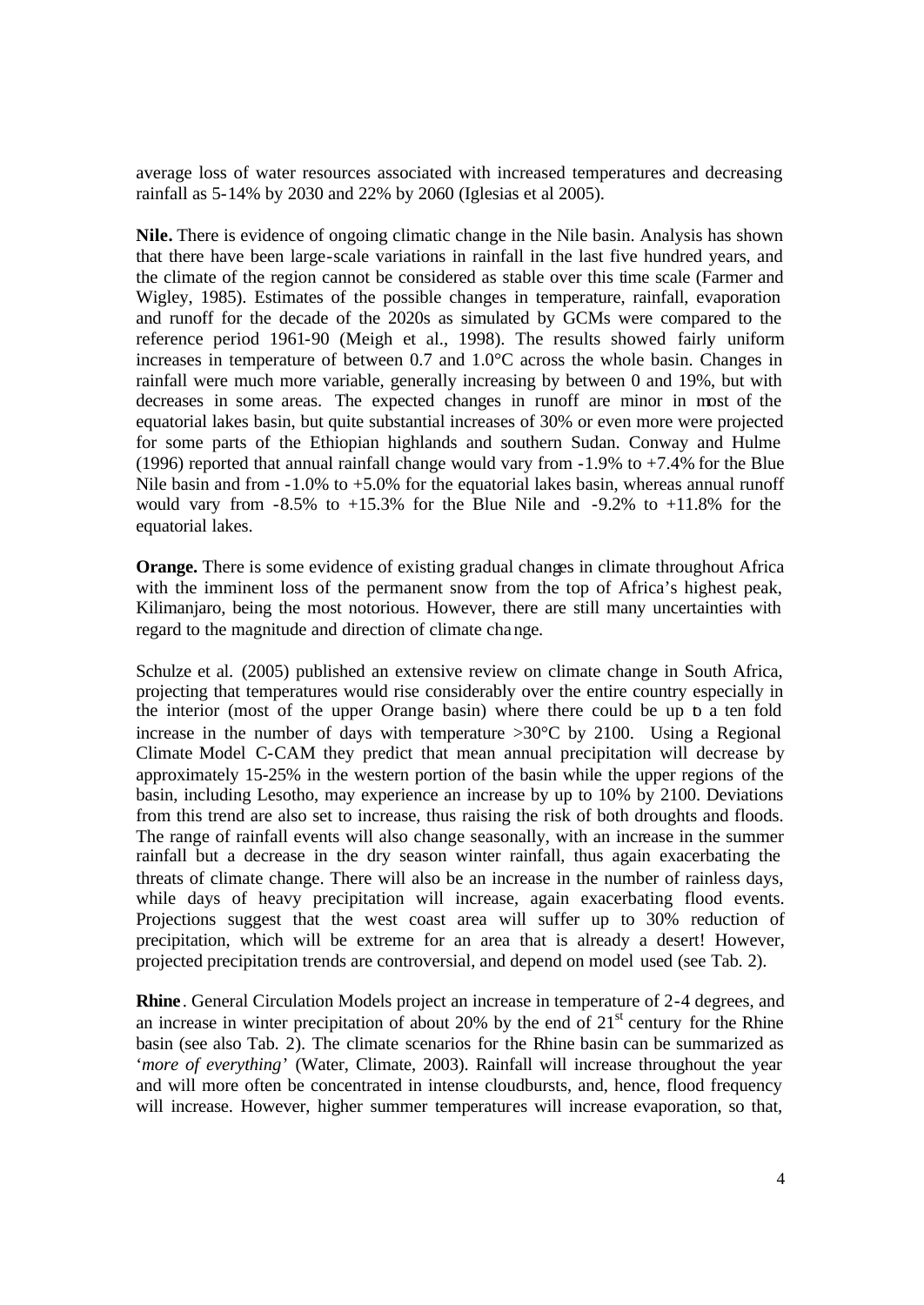average loss of water resources associated with increased temperatures and decreasing rainfall as 5-14% by 2030 and 22% by 2060 (Iglesias et al 2005).

**Nile.** There is evidence of ongoing climatic change in the Nile basin. Analysis has shown that there have been large-scale variations in rainfall in the last five hundred years, and the climate of the region cannot be considered as stable over this time scale (Farmer and Wigley, 1985). Estimates of the possible changes in temperature, rainfall, evaporation and runoff for the decade of the 2020s as simulated by GCMs were compared to the reference period 1961-90 (Meigh et al., 1998). The results showed fairly uniform increases in temperature of between 0.7 and 1.0°C across the whole basin. Changes in rainfall were much more variable, generally increasing by between 0 and 19%, but with decreases in some areas. The expected changes in runoff are minor in most of the equatorial lakes basin, but quite substantial increases of 30% or even more were projected for some parts of the Ethiopian highlands and southern Sudan. Conway and Hulme (1996) reported that annual rainfall change would vary from  $-1.9\%$  to  $+7.4\%$  for the Blue Nile basin and from  $-1.0\%$  to  $+5.0\%$  for the equatorial lakes basin, whereas annual runoff would vary from  $-8.5\%$  to  $+15.3\%$  for the Blue Nile and  $-9.2\%$  to  $+11.8\%$  for the equatorial lakes.

**Orange.** There is some evidence of existing gradual changes in climate throughout Africa with the imminent loss of the permanent snow from the top of Africa's highest peak, Kilimanjaro, being the most notorious. However, there are still many uncertainties with regard to the magnitude and direction of climate change.

Schulze et al. (2005) published an extensive review on climate change in South Africa, projecting that temperatures would rise considerably over the entire country especially in the interior (most of the upper Orange basin) where there could be up to a ten fold increase in the number of days with temperature  $>30^{\circ}$ C by 2100. Using a Regional Climate Model C-CAM they predict that mean annual precipitation will decrease by approximately 15-25% in the western portion of the basin while the upper regions of the basin, including Lesotho, may experience an increase by up to 10% by 2100. Deviations from this trend are also set to increase, thus raising the risk of both droughts and floods. The range of rainfall events will also change seasonally, with an increase in the summer rainfall but a decrease in the dry season winter rainfall, thus again exacerbating the threats of climate change. There will also be an increase in the number of rainless days, while days of heavy precipitation will increase, again exacerbating flood events. Projections suggest that the west coast area will suffer up to 30% reduction of precipitation, which will be extreme for an area that is already a desert! However, projected precipitation trends are controversial, and depend on model used (see Tab. 2).

**Rhine**. General Circulation Models project an increase in temperature of 2-4 degrees, and an increase in winter precipitation of about 20% by the end of  $21<sup>st</sup>$  century for the Rhine basin (see also Tab. 2). The climate scenarios for the Rhine basin can be summarized as *'more of everything'* (Water, Climate, 2003). Rainfall will increase throughout the year and will more often be concentrated in intense cloudbursts, and, hence, flood frequency will increase. However, higher summer temperatures will increase evaporation, so that,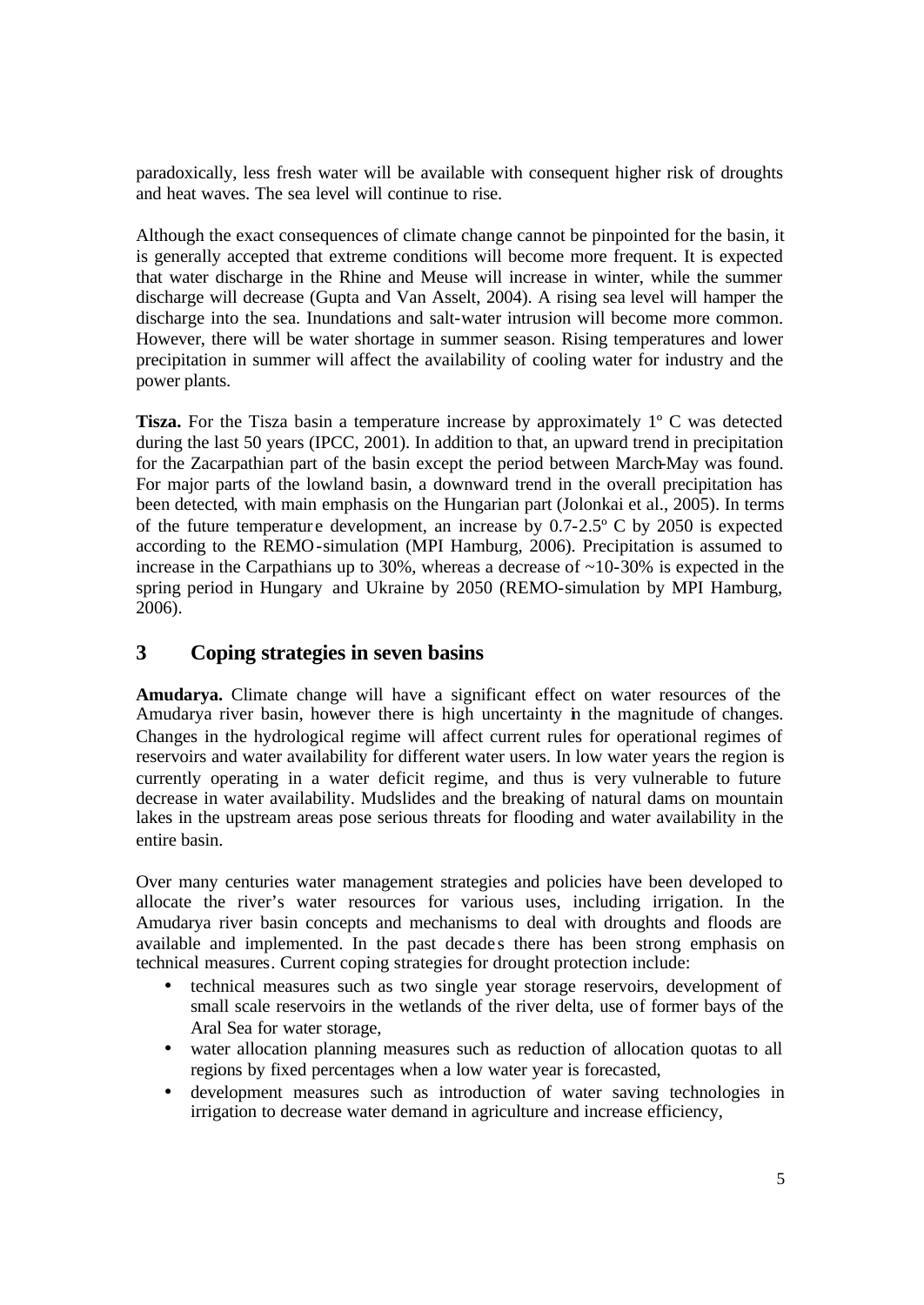paradoxically, less fresh water will be available with consequent higher risk of droughts and heat waves. The sea level will continue to rise.

Although the exact consequences of climate change cannot be pinpointed for the basin, it is generally accepted that extreme conditions will become more frequent. It is expected that water discharge in the Rhine and Meuse will increase in winter, while the summer discharge will decrease (Gupta and Van Asselt, 2004). A rising sea level will hamper the discharge into the sea. Inundations and salt-water intrusion will become more common. However, there will be water shortage in summer season. Rising temperatures and lower precipitation in summer will affect the availability of cooling water for industry and the power plants.

**Tisza.** For the Tisza basin a temperature increase by approximately 1<sup>°</sup> C was detected during the last 50 years (IPCC, 2001). In addition to that, an upward trend in precipitation for the Zacarpathian part of the basin except the period between March-May was found. For major parts of the lowland basin, a downward trend in the overall precipitation has been detected, with main emphasis on the Hungarian part (Jolonkai et al., 2005). In terms of the future temperature development, an increase by  $0.7-2.5^{\circ}$  C by 2050 is expected according to the REMO-simulation (MPI Hamburg, 2006). Precipitation is assumed to increase in the Carpathians up to 30%, whereas a decrease of  $\sim$ 10-30% is expected in the spring period in Hungary and Ukraine by 2050 (REMO-simulation by MPI Hamburg, 2006).

## **3 Coping strategies in seven basins**

**Amudarya.** Climate change will have a significant effect on water resources of the Amudarya river basin, however there is high uncertainty in the magnitude of changes. Changes in the hydrological regime will affect current rules for operational regimes of reservoirs and water availability for different water users. In low water years the region is currently operating in a water deficit regime, and thus is very vulnerable to future decrease in water availability. Mudslides and the breaking of natural dams on mountain lakes in the upstream areas pose serious threats for flooding and water availability in the entire basin.

Over many centuries water management strategies and policies have been developed to allocate the river's water resources for various uses, including irrigation. In the Amudarya river basin concepts and mechanisms to deal with droughts and floods are available and implemented. In the past decade s there has been strong emphasis on technical measures. Current coping strategies for drought protection include:

- technical measures such as two single year storage reservoirs, development of small scale reservoirs in the wetlands of the river delta, use of former bays of the Aral Sea for water storage,
- water allocation planning measures such as reduction of allocation quotas to all regions by fixed percentages when a low water year is forecasted,
- development measures such as introduction of water saving technologies in irrigation to decrease water demand in agriculture and increase efficiency,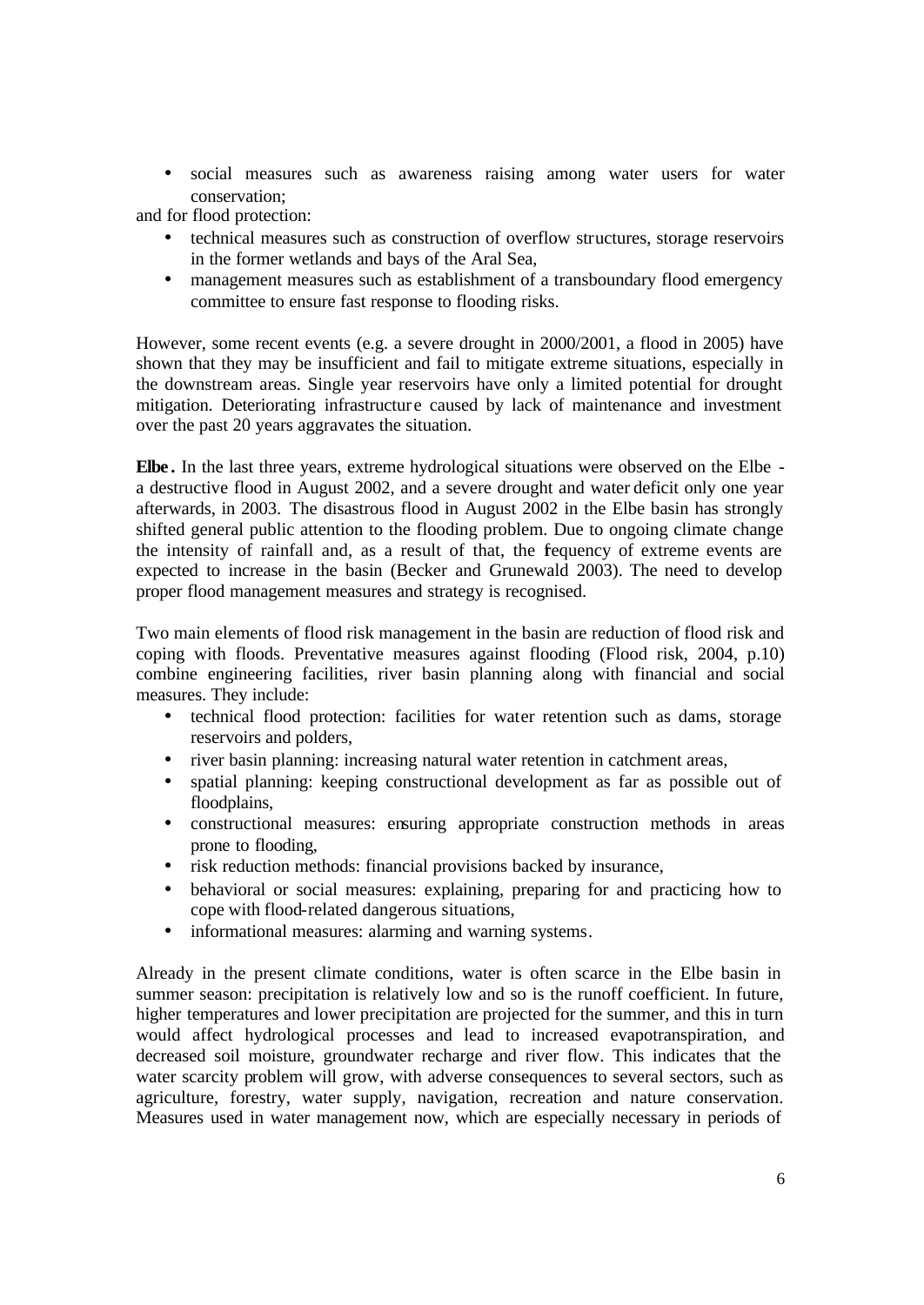• social measures such as awareness raising among water users for water conservation;

and for flood protection:

- technical measures such as construction of overflow structures, storage reservoirs in the former wetlands and bays of the Aral Sea,
- management measures such as establishment of a transboundary flood emergency committee to ensure fast response to flooding risks.

However, some recent events (e.g. a severe drought in 2000/2001, a flood in 2005) have shown that they may be insufficient and fail to mitigate extreme situations, especially in the downstream areas. Single year reservoirs have only a limited potential for drought mitigation. Deteriorating infrastructure caused by lack of maintenance and investment over the past 20 years aggravates the situation.

**Elbe .** In the last three years, extreme hydrological situations were observed on the Elbe a destructive flood in August 2002, and a severe drought and water deficit only one year afterwards, in 2003. The disastrous flood in August 2002 in the Elbe basin has strongly shifted general public attention to the flooding problem. Due to ongoing climate change the intensity of rainfall and, as a result of that, the frequency of extreme events are expected to increase in the basin (Becker and Grunewald 2003). The need to develop proper flood management measures and strategy is recognised.

Two main elements of flood risk management in the basin are reduction of flood risk and coping with floods. Preventative measures against flooding (Flood risk, 2004, p.10) combine engineering facilities, river basin planning along with financial and social measures. They include:

- technical flood protection: facilities for water retention such as dams, storage reservoirs and polders,
- river basin planning: increasing natural water retention in catchment areas,
- spatial planning: keeping constructional development as far as possible out of floodplains,
- constructional measures: ensuring appropriate construction methods in areas prone to flooding,
- risk reduction methods: financial provisions backed by insurance,
- behavioral or social measures: explaining, preparing for and practicing how to cope with flood-related dangerous situations,
- informational measures: alarming and warning systems.

Already in the present climate conditions, water is often scarce in the Elbe basin in summer season: precipitation is relatively low and so is the runoff coefficient. In future, higher temperatures and lower precipitation are projected for the summer, and this in turn would affect hydrological processes and lead to increased evapotranspiration, and decreased soil moisture, groundwater recharge and river flow. This indicates that the water scarcity problem will grow, with adverse consequences to several sectors, such as agriculture, forestry, water supply, navigation, recreation and nature conservation. Measures used in water management now, which are especially necessary in periods of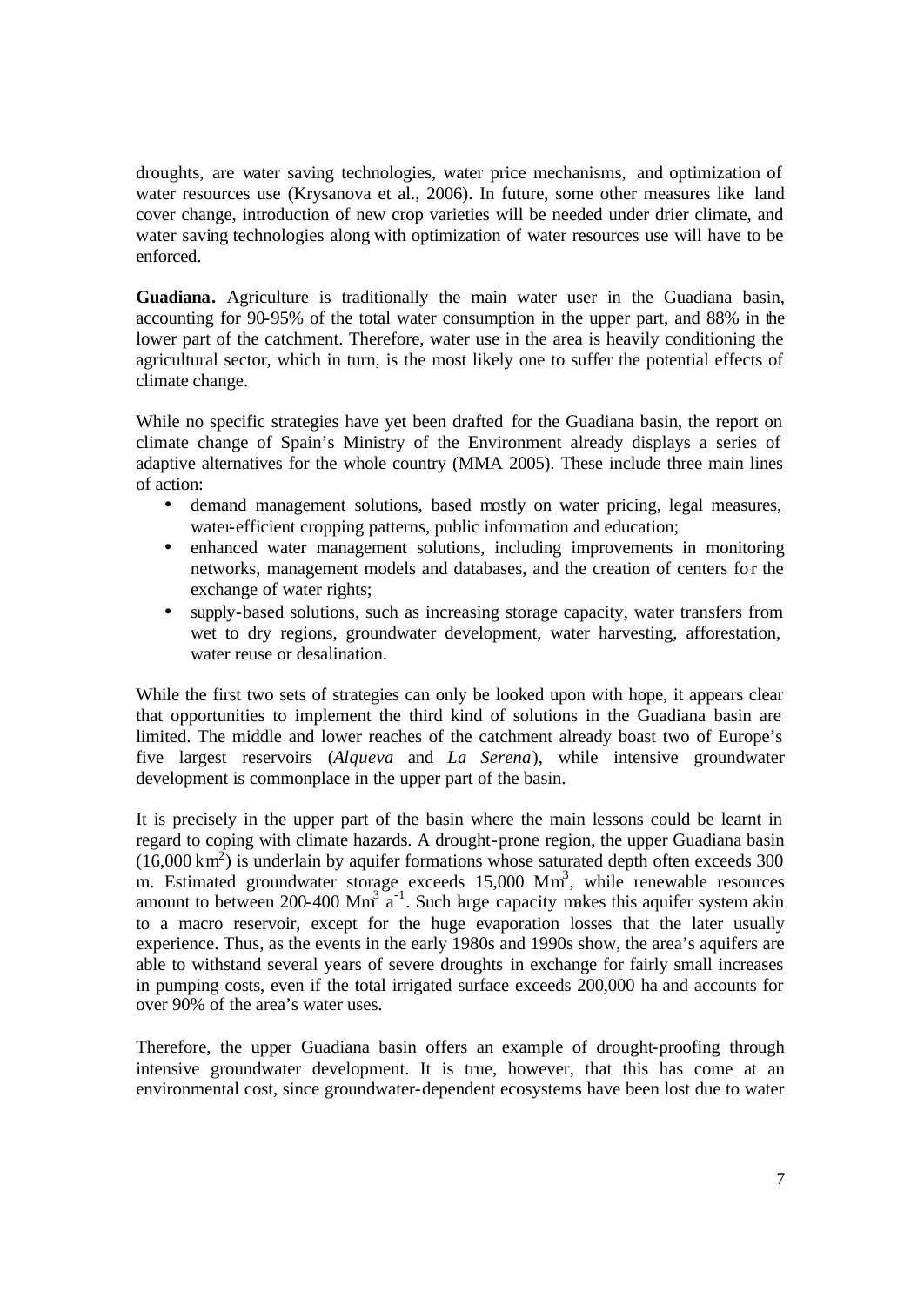droughts, are water saving technologies, water price mechanisms, and optimization of water resources use (Krysanova et al., 2006). In future, some other measures like land cover change, introduction of new crop varieties will be needed under drier climate, and water saving technologies along with optimization of water resources use will have to be enforced.

**Guadiana.** Agriculture is traditionally the main water user in the Guadiana basin, accounting for 90-95% of the total water consumption in the upper part, and 88% in the lower part of the catchment. Therefore, water use in the area is heavily conditioning the agricultural sector, which in turn, is the most likely one to suffer the potential effects of climate change.

While no specific strategies have yet been drafted for the Guadiana basin, the report on climate change of Spain's Ministry of the Environment already displays a series of adaptive alternatives for the whole country (MMA 2005). These include three main lines of action:

- demand management solutions, based mostly on water pricing, legal measures, water-efficient cropping patterns, public information and education;
- enhanced water management solutions, including improvements in monitoring networks, management models and databases, and the creation of centers fo r the exchange of water rights;
- supply-based solutions, such as increasing storage capacity, water transfers from wet to dry regions, groundwater development, water harvesting, afforestation, water reuse or desalination.

While the first two sets of strategies can only be looked upon with hope, it appears clear that opportunities to implement the third kind of solutions in the Guadiana basin are limited. The middle and lower reaches of the catchment already boast two of Europe's five largest reservoirs (*Alqueva* and *La Serena*), while intensive groundwater development is commonplace in the upper part of the basin.

It is precisely in the upper part of the basin where the main lessons could be learnt in regard to coping with climate hazards. A drought-prone region, the upper Guadiana basin  $(16,000 \text{ km}^2)$  is underlain by aquifer formations whose saturated depth often exceeds 300 m. Estimated groundwater storage exceeds 15,000 Mm<sup>3</sup>, while renewable resources amount to between 200-400 Mm<sup>3</sup>  $a^{-1}$ . Such large capacity makes this aquifer system akin to a macro reservoir, except for the huge evaporation losses that the later usually experience. Thus, as the events in the early 1980s and 1990s show, the area's aquifers are able to withstand several years of severe droughts in exchange for fairly small increases in pumping costs, even if the total irrigated surface exceeds 200,000 ha and accounts for over 90% of the area's water uses.

Therefore, the upper Guadiana basin offers an example of drought-proofing through intensive groundwater development. It is true, however, that this has come at an environmental cost, since groundwater-dependent ecosystems have been lost due to water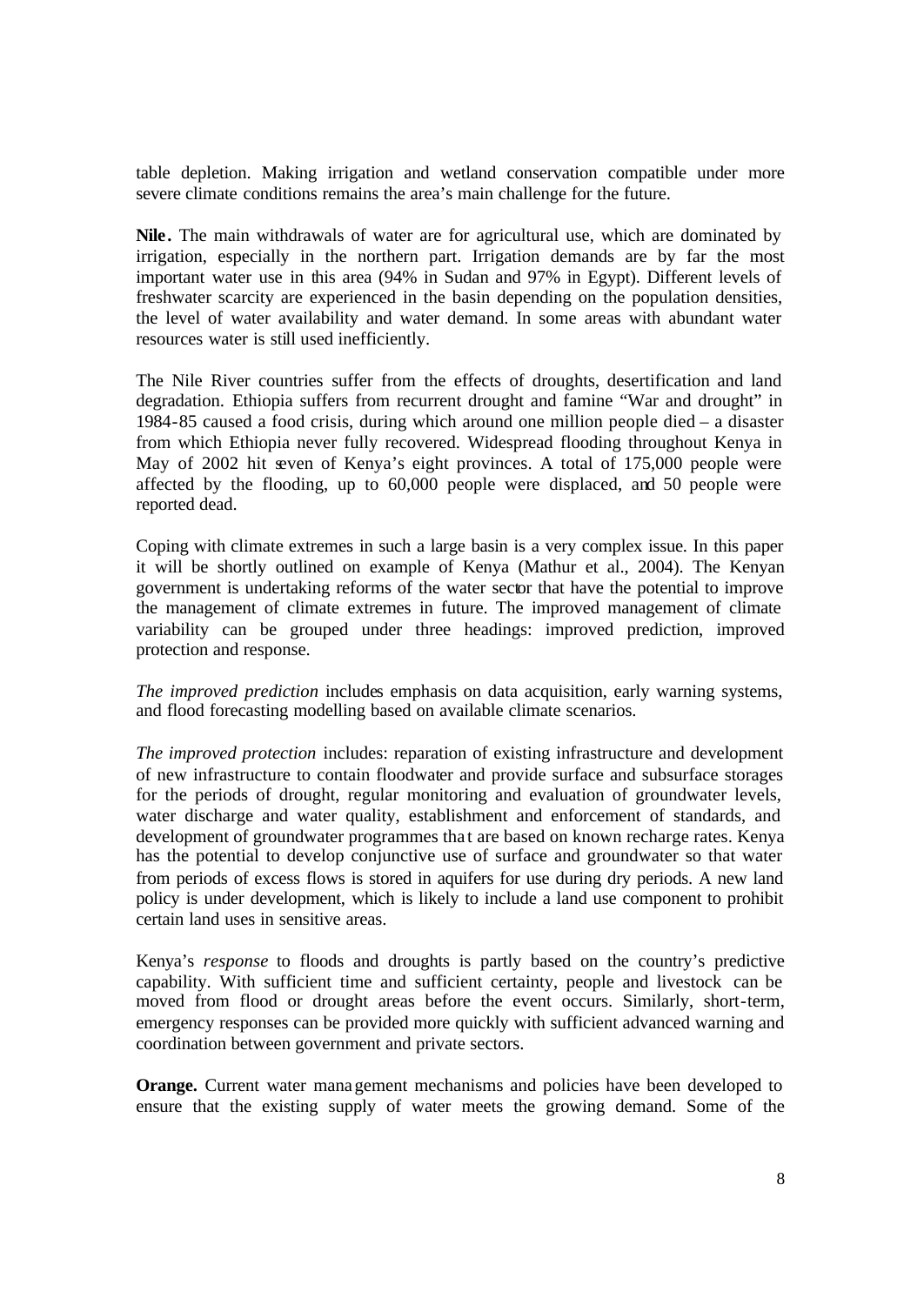table depletion. Making irrigation and wetland conservation compatible under more severe climate conditions remains the area's main challenge for the future.

Nile. The main withdrawals of water are for agricultural use, which are dominated by irrigation, especially in the northern part. Irrigation demands are by far the most important water use in this area (94% in Sudan and 97% in Egypt). Different levels of freshwater scarcity are experienced in the basin depending on the population densities, the level of water availability and water demand. In some areas with abundant water resources water is still used inefficiently.

The Nile River countries suffer from the effects of droughts, desertification and land degradation. Ethiopia suffers from recurrent drought and famine "War and drought" in 1984-85 caused a food crisis, during which around one million people died – a disaster from which Ethiopia never fully recovered. Widespread flooding throughout Kenya in May of 2002 hit seven of Kenya's eight provinces. A total of 175,000 people were affected by the flooding, up to 60,000 people were displaced, and 50 people were reported dead.

Coping with climate extremes in such a large basin is a very complex issue. In this paper it will be shortly outlined on example of Kenya (Mathur et al., 2004). The Kenyan government is undertaking reforms of the water sector that have the potential to improve the management of climate extremes in future. The improved management of climate variability can be grouped under three headings: improved prediction, improved protection and response.

*The improved prediction* includes emphasis on data acquisition, early warning systems, and flood forecasting modelling based on available climate scenarios.

*The improved protection* includes: reparation of existing infrastructure and development of new infrastructure to contain floodwater and provide surface and subsurface storages for the periods of drought, regular monitoring and evaluation of groundwater levels, water discharge and water quality, establishment and enforcement of standards, and development of groundwater programmes tha t are based on known recharge rates. Kenya has the potential to develop conjunctive use of surface and groundwater so that water from periods of excess flows is stored in aquifers for use during dry periods. A new land policy is under development, which is likely to include a land use component to prohibit certain land uses in sensitive areas.

Kenya's *response* to floods and droughts is partly based on the country's predictive capability. With sufficient time and sufficient certainty, people and livestock can be moved from flood or drought areas before the event occurs. Similarly, short-term, emergency responses can be provided more quickly with sufficient advanced warning and coordination between government and private sectors.

**Orange.** Current water management mechanisms and policies have been developed to ensure that the existing supply of water meets the growing demand. Some of the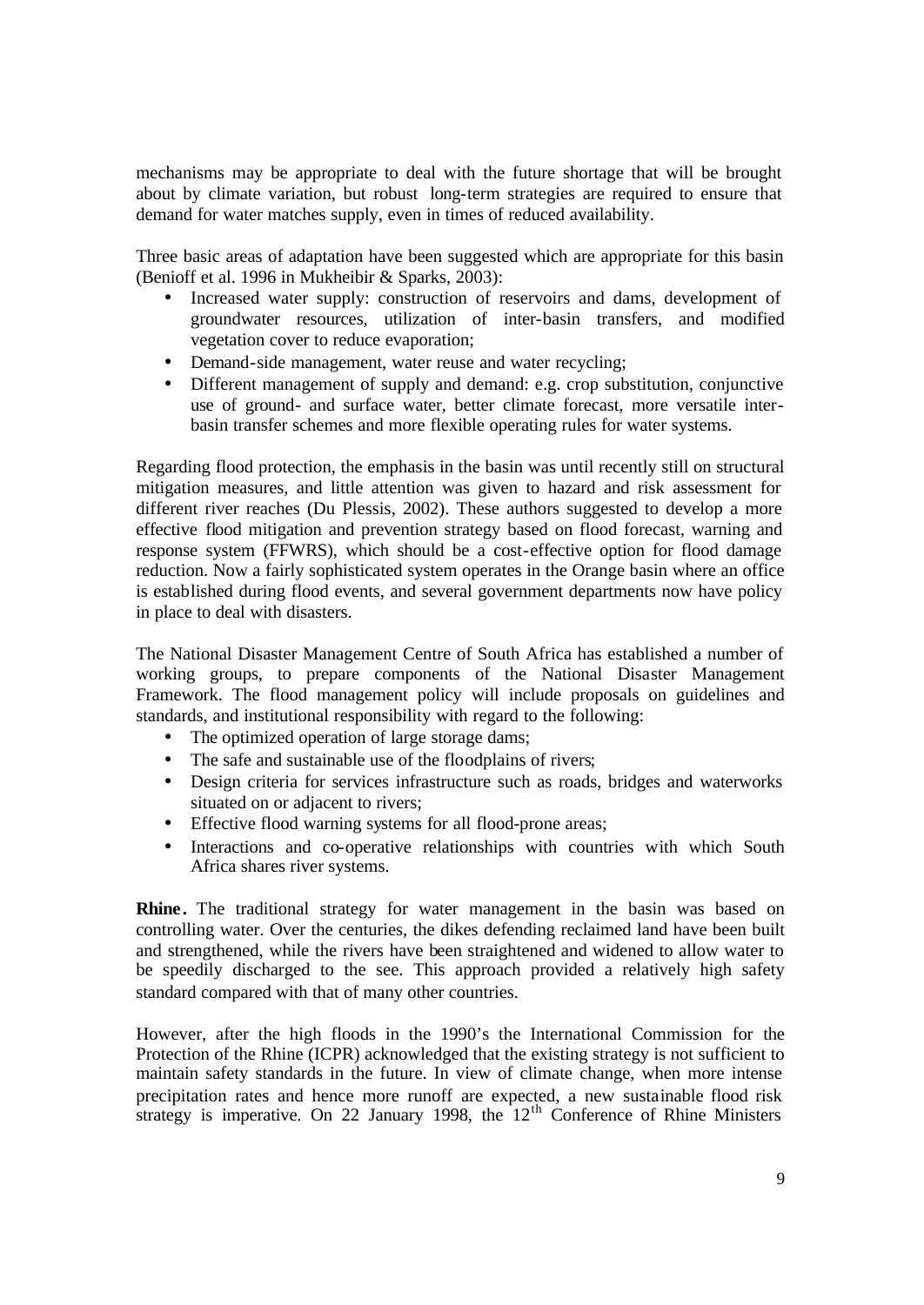mechanisms may be appropriate to deal with the future shortage that will be brought about by climate variation, but robust long-term strategies are required to ensure that demand for water matches supply, even in times of reduced availability.

Three basic areas of adaptation have been suggested which are appropriate for this basin (Benioff et al. 1996 in Mukheibir & Sparks, 2003):

- Increased water supply: construction of reservoirs and dams, development of groundwater resources, utilization of inter-basin transfers, and modified vegetation cover to reduce evaporation;
- Demand-side management, water reuse and water recycling;
- Different management of supply and demand: e.g. crop substitution, conjunctive use of ground- and surface water, better climate forecast, more versatile interbasin transfer schemes and more flexible operating rules for water systems.

Regarding flood protection, the emphasis in the basin was until recently still on structural mitigation measures, and little attention was given to hazard and risk assessment for different river reaches (Du Plessis, 2002). These authors suggested to develop a more effective flood mitigation and prevention strategy based on flood forecast, warning and response system (FFWRS), which should be a cost-effective option for flood damage reduction. Now a fairly sophisticated system operates in the Orange basin where an office is established during flood events, and several government departments now have policy in place to deal with disasters.

The National Disaster Management Centre of South Africa has established a number of working groups, to prepare components of the National Disaster Management Framework. The flood management policy will include proposals on guidelines and standards, and institutional responsibility with regard to the following:

- The optimized operation of large storage dams;
- The safe and sustainable use of the floodplains of rivers;
- Design criteria for services infrastructure such as roads, bridges and waterworks situated on or adjacent to rivers;
- Effective flood warning systems for all flood-prone areas;
- Interactions and co-operative relationships with countries with which South Africa shares river systems.

**Rhine.** The traditional strategy for water management in the basin was based on controlling water. Over the centuries, the dikes defending reclaimed land have been built and strengthened, while the rivers have been straightened and widened to allow water to be speedily discharged to the see. This approach provided a relatively high safety standard compared with that of many other countries.

However, after the high floods in the 1990's the International Commission for the Protection of the Rhine (ICPR) acknowledged that the existing strategy is not sufficient to maintain safety standards in the future. In view of climate change, when more intense precipitation rates and hence more runoff are expected, a new sustainable flood risk strategy is imperative. On 22 January 1998, the  $12<sup>th</sup>$  Conference of Rhine Ministers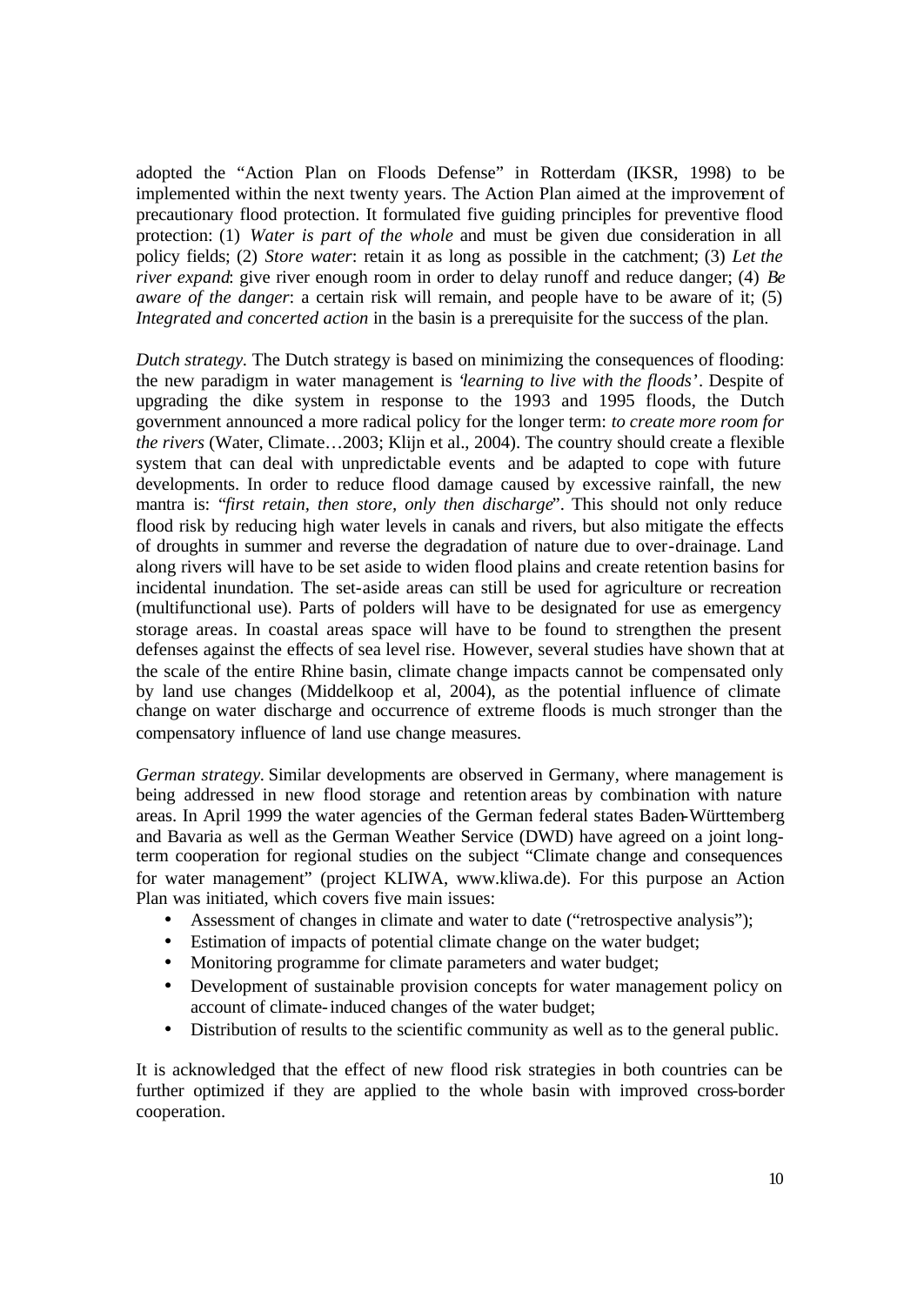adopted the "Action Plan on Floods Defense" in Rotterdam (IKSR, 1998) to be implemented within the next twenty years. The Action Plan aimed at the improvement of precautionary flood protection. It formulated five guiding principles for preventive flood protection: (1) *Water is part of the whole* and must be given due consideration in all policy fields; (2) *Store water*: retain it as long as possible in the catchment; (3) *Let the river expand*: give river enough room in order to delay runoff and reduce danger; (4) *Be aware of the danger*: a certain risk will remain, and people have to be aware of it; (5) *Integrated and concerted action* in the basin is a prerequisite for the success of the plan.

*Dutch strategy.* The Dutch strategy is based on minimizing the consequences of flooding: the new paradigm in water management is '*learning to live with the floods*'. Despite of upgrading the dike system in response to the 1993 and 1995 floods, the Dutch government announced a more radical policy for the longer term: *to create more room for the rivers* (Water, Climate…2003; Klijn et al., 2004). The country should create a flexible system that can deal with unpredictable events and be adapted to cope with future developments. In order to reduce flood damage caused by excessive rainfall, the new mantra is: "*first retain, then store, only then discharge*". This should not only reduce flood risk by reducing high water levels in canals and rivers, but also mitigate the effects of droughts in summer and reverse the degradation of nature due to over-drainage. Land along rivers will have to be set aside to widen flood plains and create retention basins for incidental inundation. The set-aside areas can still be used for agriculture or recreation (multifunctional use). Parts of polders will have to be designated for use as emergency storage areas. In coastal areas space will have to be found to strengthen the present defenses against the effects of sea level rise. However, several studies have shown that at the scale of the entire Rhine basin, climate change impacts cannot be compensated only by land use changes (Middelkoop et al, 2004), as the potential influence of climate change on water discharge and occurrence of extreme floods is much stronger than the compensatory influence of land use change measures.

*German strategy.* Similar developments are observed in Germany, where management is being addressed in new flood storage and retention areas by combination with nature areas. In April 1999 the water agencies of the German federal states Baden-Württemberg and Bavaria as well as the German Weather Service (DWD) have agreed on a joint longterm cooperation for regional studies on the subject "Climate change and consequences for water management" (project KLIWA, www.kliwa.de). For this purpose an Action Plan was initiated, which covers five main issues:

- Assessment of changes in climate and water to date ("retrospective analysis");
- Estimation of impacts of potential climate change on the water budget;
- Monitoring programme for climate parameters and water budget;
- Development of sustainable provision concepts for water management policy on account of climate-induced changes of the water budget;
- Distribution of results to the scientific community as well as to the general public.

It is acknowledged that the effect of new flood risk strategies in both countries can be further optimized if they are applied to the whole basin with improved cross-border cooperation.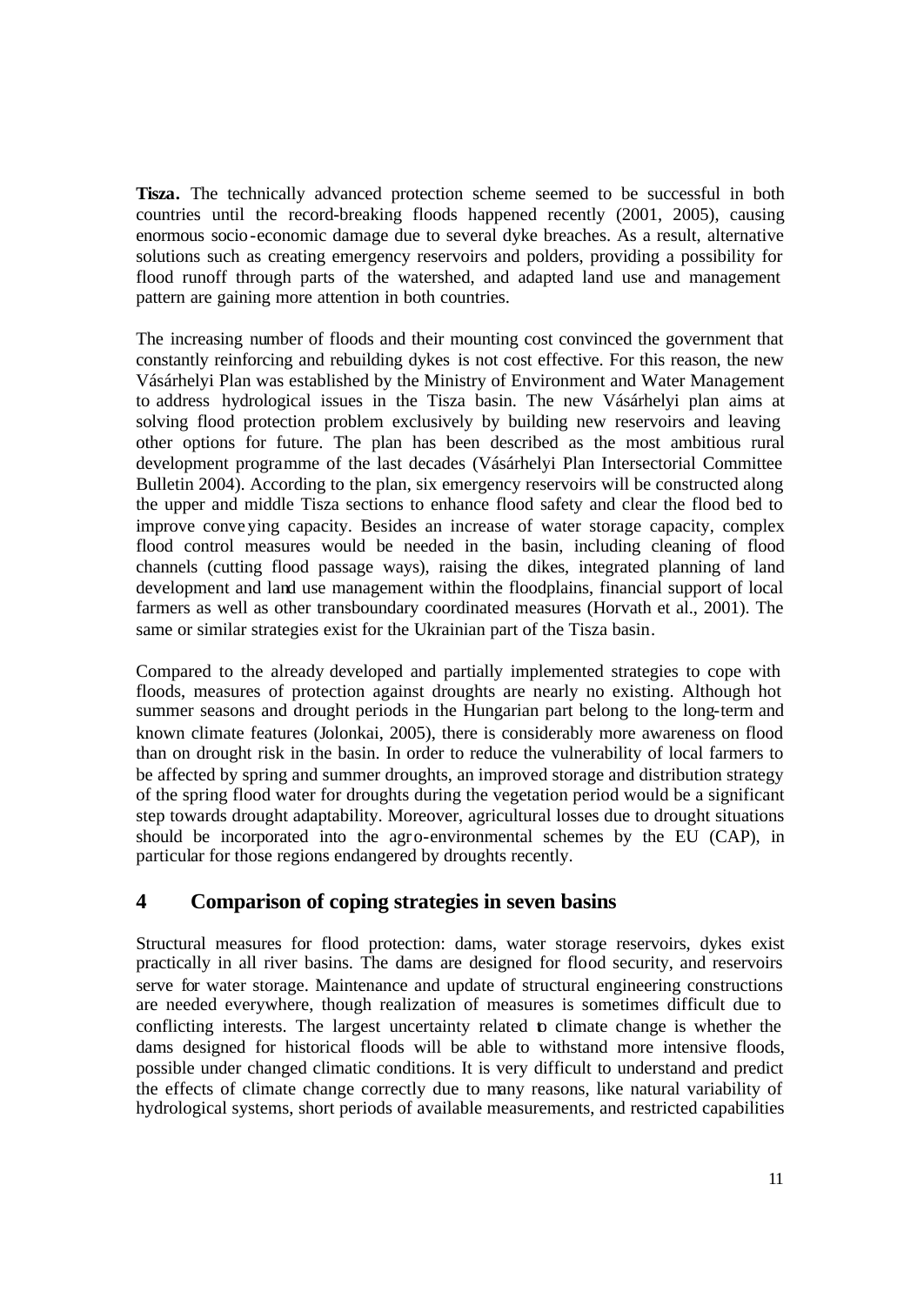**Tisza.** The technically advanced protection scheme seemed to be successful in both countries until the record-breaking floods happened recently (2001, 2005), causing enormous socio-economic damage due to several dyke breaches. As a result, alternative solutions such as creating emergency reservoirs and polders, providing a possibility for flood runoff through parts of the watershed, and adapted land use and management pattern are gaining more attention in both countries.

The increasing number of floods and their mounting cost convinced the government that constantly reinforcing and rebuilding dykes is not cost effective. For this reason, the new Vásárhelyi Plan was established by the Ministry of Environment and Water Management to address hydrological issues in the Tisza basin. The new Vásárhelyi plan aims at solving flood protection problem exclusively by building new reservoirs and leaving other options for future. The plan has been described as the most ambitious rural development programme of the last decades (Vásárhelyi Plan Intersectorial Committee Bulletin 2004). According to the plan, six emergency reservoirs will be constructed along the upper and middle Tisza sections to enhance flood safety and clear the flood bed to improve conveying capacity. Besides an increase of water storage capacity, complex flood control measures would be needed in the basin, including cleaning of flood channels (cutting flood passage ways), raising the dikes, integrated planning of land development and land use management within the floodplains, financial support of local farmers as well as other transboundary coordinated measures (Horvath et al., 2001). The same or similar strategies exist for the Ukrainian part of the Tisza basin.

Compared to the already developed and partially implemented strategies to cope with floods, measures of protection against droughts are nearly no existing. Although hot summer seasons and drought periods in the Hungarian part belong to the long-term and known climate features (Jolonkai, 2005), there is considerably more awareness on flood than on drought risk in the basin. In order to reduce the vulnerability of local farmers to be affected by spring and summer droughts, an improved storage and distribution strategy of the spring flood water for droughts during the vegetation period would be a significant step towards drought adaptability. Moreover, agricultural losses due to drought situations should be incorporated into the agro-environmental schemes by the EU (CAP), in particular for those regions endangered by droughts recently.

# **4 Comparison of coping strategies in seven basins**

Structural measures for flood protection: dams, water storage reservoirs, dykes exist practically in all river basins. The dams are designed for flood security, and reservoirs serve for water storage. Maintenance and update of structural engineering constructions are needed everywhere, though realization of measures is sometimes difficult due to conflicting interests. The largest uncertainty related to climate change is whether the dams designed for historical floods will be able to withstand more intensive floods, possible under changed climatic conditions. It is very difficult to understand and predict the effects of climate change correctly due to many reasons, like natural variability of hydrological systems, short periods of available measurements, and restricted capabilities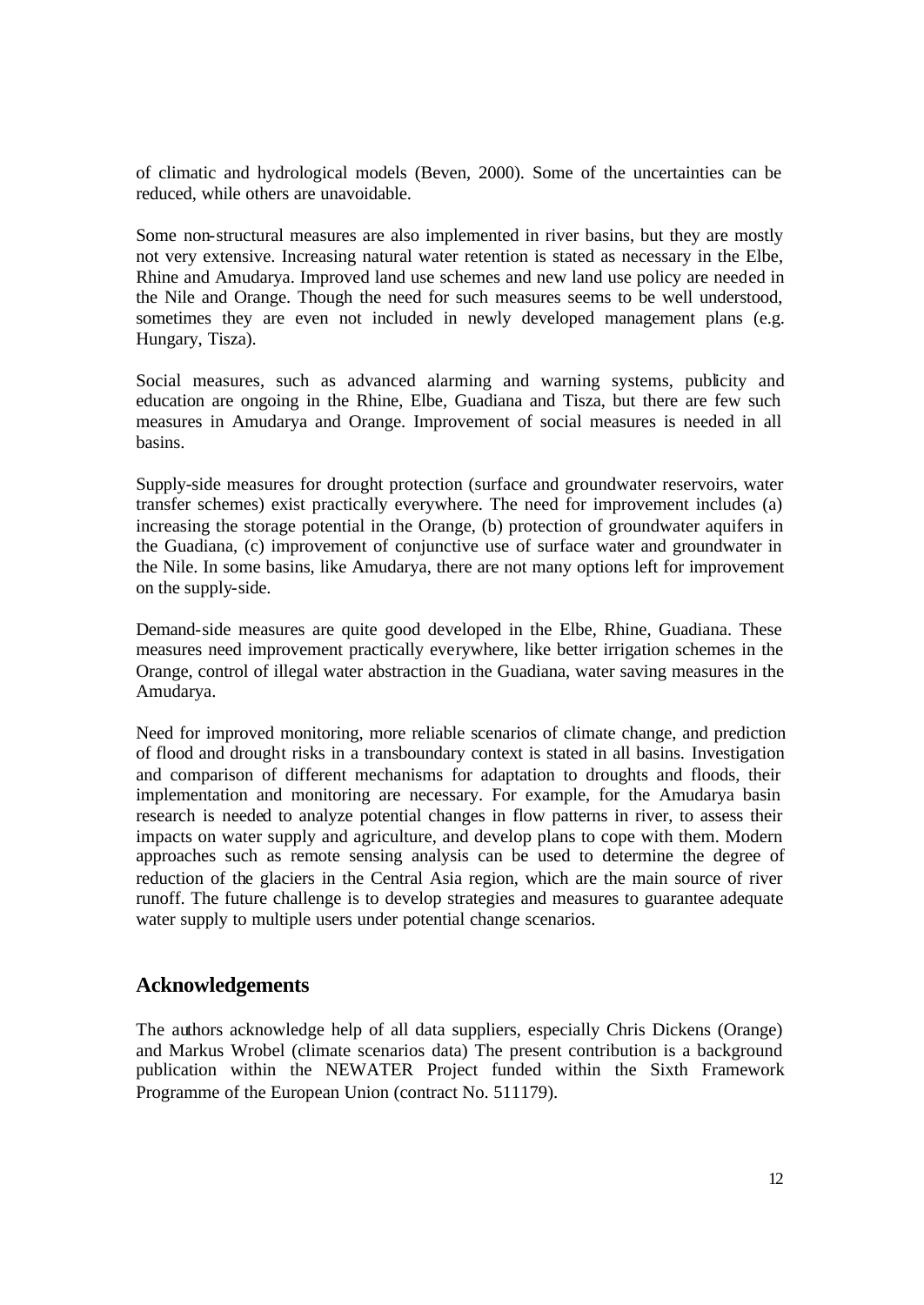of climatic and hydrological models (Beven, 2000). Some of the uncertainties can be reduced, while others are unavoidable.

Some non-structural measures are also implemented in river basins, but they are mostly not very extensive. Increasing natural water retention is stated as necessary in the Elbe, Rhine and Amudarya. Improved land use schemes and new land use policy are needed in the Nile and Orange. Though the need for such measures seems to be well understood, sometimes they are even not included in newly developed management plans (e.g. Hungary, Tisza).

Social measures, such as advanced alarming and warning systems, publicity and education are ongoing in the Rhine, Elbe, Guadiana and Tisza, but there are few such measures in Amudarya and Orange. Improvement of social measures is needed in all basins.

Supply-side measures for drought protection (surface and groundwater reservoirs, water transfer schemes) exist practically everywhere. The need for improvement includes (a) increasing the storage potential in the Orange, (b) protection of groundwater aquifers in the Guadiana, (c) improvement of conjunctive use of surface water and groundwater in the Nile. In some basins, like Amudarya, there are not many options left for improvement on the supply-side.

Demand-side measures are quite good developed in the Elbe, Rhine, Guadiana. These measures need improvement practically everywhere, like better irrigation schemes in the Orange, control of illegal water abstraction in the Guadiana, water saving measures in the Amudarya.

Need for improved monitoring, more reliable scenarios of climate change, and prediction of flood and drought risks in a transboundary context is stated in all basins. Investigation and comparison of different mechanisms for adaptation to droughts and floods, their implementation and monitoring are necessary. For example, for the Amudarya basin research is needed to analyze potential changes in flow patterns in river, to assess their impacts on water supply and agriculture, and develop plans to cope with them. Modern approaches such as remote sensing analysis can be used to determine the degree of reduction of the glaciers in the Central Asia region, which are the main source of river runoff. The future challenge is to develop strategies and measures to guarantee adequate water supply to multiple users under potential change scenarios.

#### **Acknowledgements**

The authors acknowledge help of all data suppliers, especially Chris Dickens (Orange) and Markus Wrobel (climate scenarios data) The present contribution is a background publication within the NEWATER Project funded within the Sixth Framework Programme of the European Union (contract No. 511179).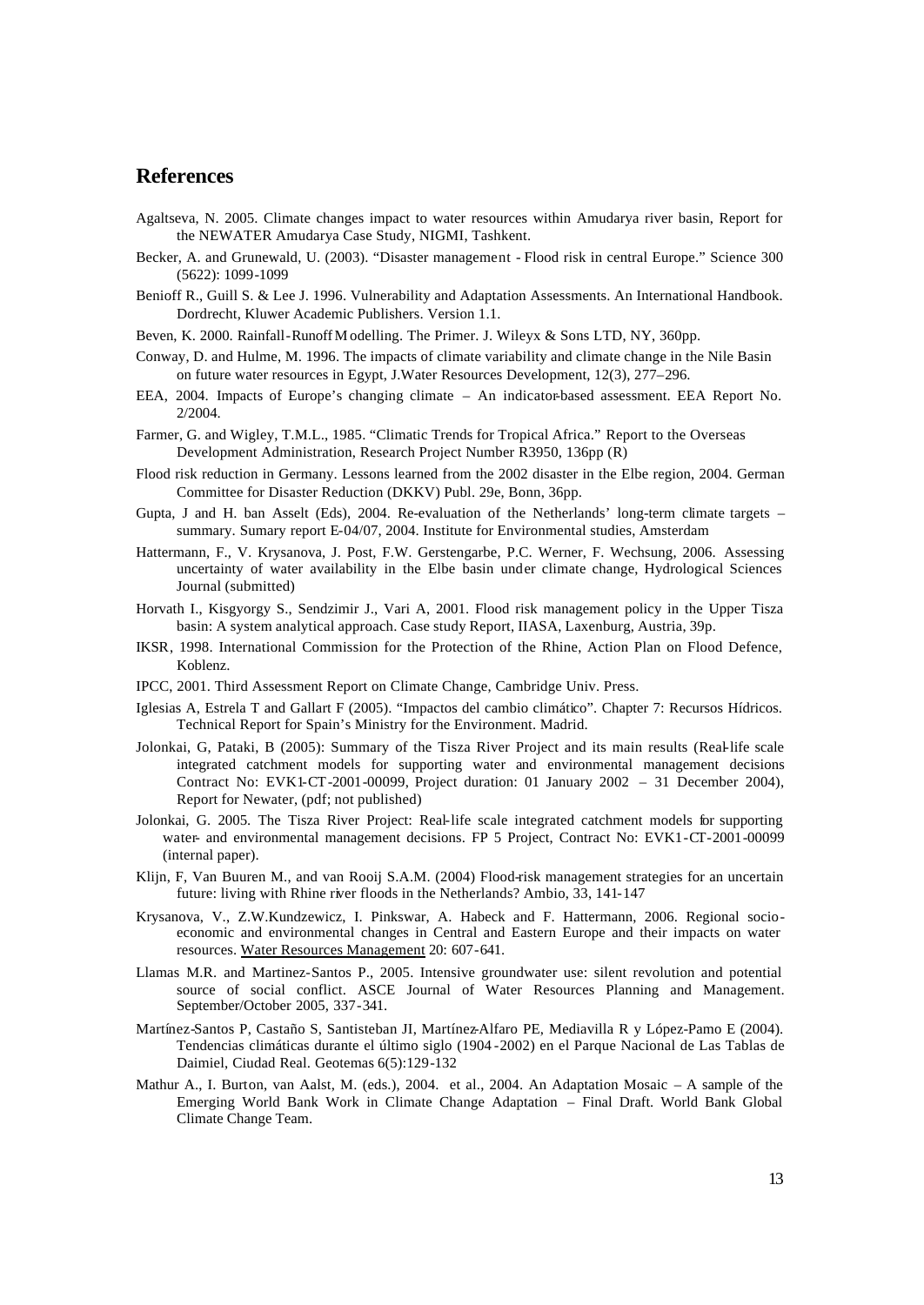#### **References**

- Agaltseva, N. 2005. Climate changes impact to water resources within Amudarya river basin, Report for the NEWATER Amudarya Case Study, NIGMI, Tashkent.
- Becker, A. and Grunewald, U. (2003). "Disaster management Flood risk in central Europe." Science 300 (5622): 1099-1099
- Benioff R., Guill S. & Lee J. 1996. Vulnerability and Adaptation Assessments. An International Handbook. Dordrecht, Kluwer Academic Publishers. Version 1.1.
- Beven, K. 2000. Rainfall-Runoff M odelling. The Primer. J. Wileyx & Sons LTD, NY, 360pp.
- Conway, D. and Hulme, M. 1996. The impacts of climate variability and climate change in the Nile Basin on future water resources in Egypt, J.Water Resources Development, 12(3), 277–296.
- EEA, 2004. Impacts of Europe's changing climate An indicator-based assessment. EEA Report No. 2/2004.
- Farmer, G. and Wigley, T.M.L., 1985. "Climatic Trends for Tropical Africa." Report to the Overseas Development Administration, Research Project Number R3950, 136pp (R)
- Flood risk reduction in Germany. Lessons learned from the 2002 disaster in the Elbe region, 2004. German Committee for Disaster Reduction (DKKV) Publ. 29e, Bonn, 36pp.
- Gupta, J and H. ban Asselt (Eds), 2004. Re-evaluation of the Netherlands' long-term climate targets summary. Sumary report E-04/07, 2004. Institute for Environmental studies, Amsterdam
- Hattermann, F., V. Krysanova, J. Post, F.W. Gerstengarbe, P.C. Werner, F. Wechsung, 2006. Assessing uncertainty of water availability in the Elbe basin under climate change, Hydrological Sciences Journal (submitted)
- Horvath I., Kisgyorgy S., Sendzimir J., Vari A, 2001. Flood risk management policy in the Upper Tisza basin: A system analytical approach. Case study Report, IIASA, Laxenburg, Austria, 39p.
- IKSR, 1998. International Commission for the Protection of the Rhine, Action Plan on Flood Defence, Koblenz.
- IPCC, 2001. Third Assessment Report on Climate Change, Cambridge Univ. Press.
- Iglesias A, Estrela T and Gallart F (2005). "Impactos del cambio climático". Chapter 7: Recursos Hídricos. Technical Report for Spain's Ministry for the Environment. Madrid.
- Jolonkai, G, Pataki, B (2005): Summary of the Tisza River Project and its main results (Real-life scale integrated catchment models for supporting water and environmental management decisions Contract No: EVK1-CT-2001-00099, Project duration: 01 January 2002 – 31 December 2004), Report for Newater, (pdf; not published)
- Jolonkai, G. 2005. The Tisza River Project: Real-life scale integrated catchment models for supporting water- and environmental management decisions. FP 5 Project, Contract No: EVK1-CT-2001-00099 (internal paper).
- Klijn, F, Van Buuren M., and van Rooij S.A.M. (2004) Flood-risk management strategies for an uncertain future: living with Rhine river floods in the Netherlands? Ambio, 33, 141-147
- Krysanova, V., Z.W.Kundzewicz, I. Pinkswar, A. Habeck and F. Hattermann, 2006. Regional socioeconomic and environmental changes in Central and Eastern Europe and their impacts on water resources. Water Resources Management 20: 607-641.
- Llamas M.R. and Martinez-Santos P., 2005. Intensive groundwater use: silent revolution and potential source of social conflict. ASCE Journal of Water Resources Planning and Management. September/October 2005, 337-341.
- Martínez-Santos P, Castaño S, Santisteban JI, Martínez-Alfaro PE, Mediavilla R y López-Pamo E (2004). Tendencias climáticas durante el último siglo (1904 -2002) en el Parque Nacional de Las Tablas de Daimiel, Ciudad Real. Geotemas 6(5):129-132
- Mathur A., I. Burton, van Aalst, M. (eds.), 2004. et al., 2004. An Adaptation Mosaic A sample of the Emerging World Bank Work in Climate Change Adaptation – Final Draft. World Bank Global Climate Change Team.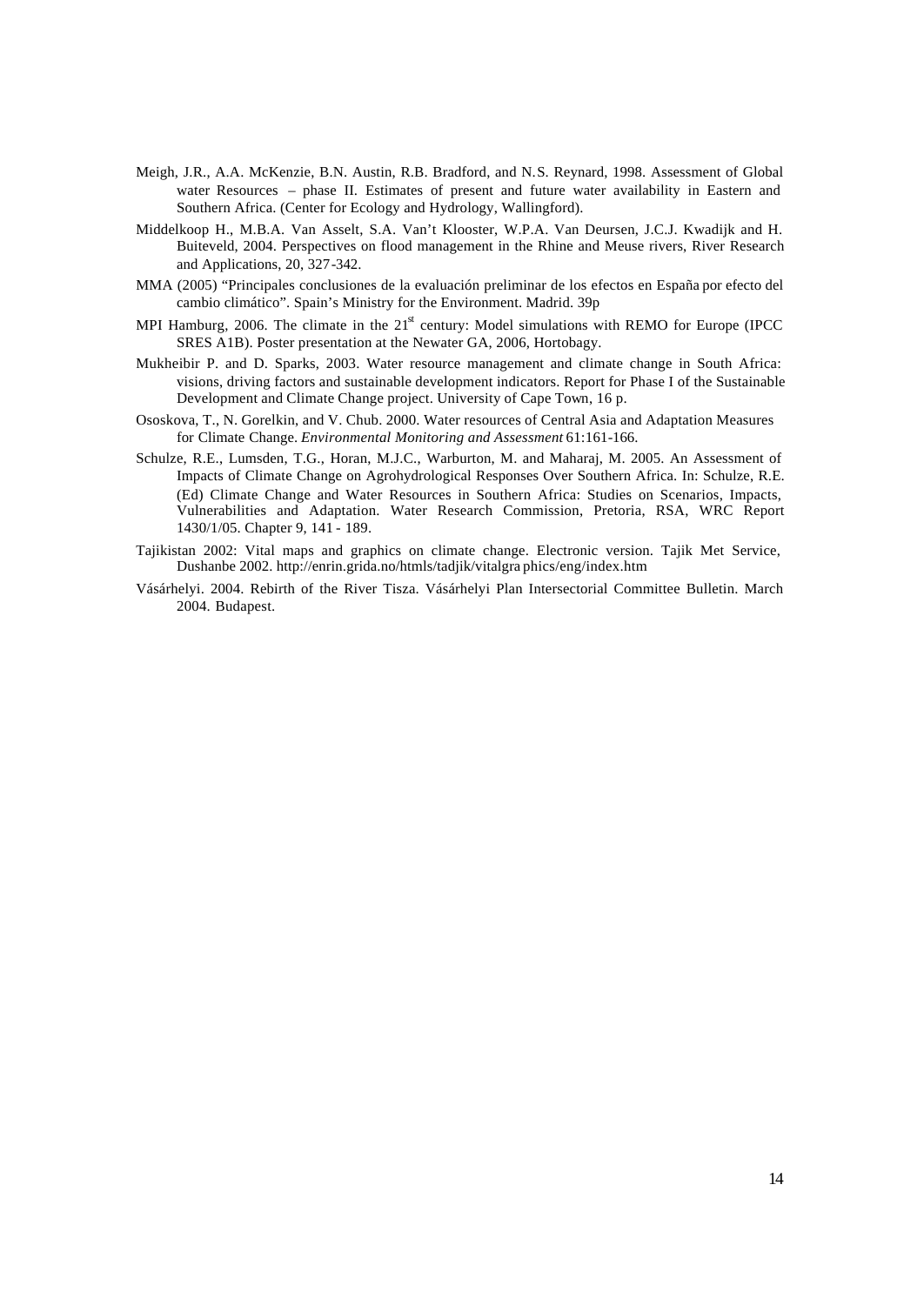- Meigh, J.R., A.A. McKenzie, B.N. Austin, R.B. Bradford, and N.S. Reynard, 1998. Assessment of Global water Resources – phase II. Estimates of present and future water availability in Eastern and Southern Africa. (Center for Ecology and Hydrology, Wallingford).
- Middelkoop H., M.B.A. Van Asselt, S.A. Van't Klooster, W.P.A. Van Deursen, J.C.J. Kwadijk and H. Buiteveld, 2004. Perspectives on flood management in the Rhine and Meuse rivers, River Research and Applications, 20, 327-342.
- MMA (2005) "Principales conclusiones de la evaluación preliminar de los efectos en España por efecto del cambio climático". Spain's Ministry for the Environment. Madrid. 39p
- MPI Hamburg, 2006. The climate in the  $21<sup>st</sup>$  century: Model simulations with REMO for Europe (IPCC SRES A1B). Poster presentation at the Newater GA, 2006, Hortobagy.
- Mukheibir P. and D. Sparks, 2003. Water resource management and climate change in South Africa: visions, driving factors and sustainable development indicators. Report for Phase I of the Sustainable Development and Climate Change project. University of Cape Town, 16 p.
- Ososkova, T., N. Gorelkin, and V. Chub. 2000. Water resources of Central Asia and Adaptation Measures for Climate Change. *Environmental Monitoring and Assessment* 61:161-166.
- Schulze, R.E., Lumsden, T.G., Horan, M.J.C., Warburton, M. and Maharaj, M. 2005. An Assessment of Impacts of Climate Change on Agrohydrological Responses Over Southern Africa. In: Schulze, R.E. (Ed) Climate Change and Water Resources in Southern Africa: Studies on Scenarios, Impacts, Vulnerabilities and Adaptation. Water Research Commission, Pretoria, RSA, WRC Report 1430/1/05. Chapter 9, 141 - 189.
- Tajikistan 2002: Vital maps and graphics on climate change. Electronic version. Tajik Met Service, Dushanbe 2002. http://enrin.grida.no/htmls/tadjik/vitalgra phics/eng/index.htm
- Vásárhelyi. 2004. Rebirth of the River Tisza. Vásárhelyi Plan Intersectorial Committee Bulletin. March 2004. Budapest.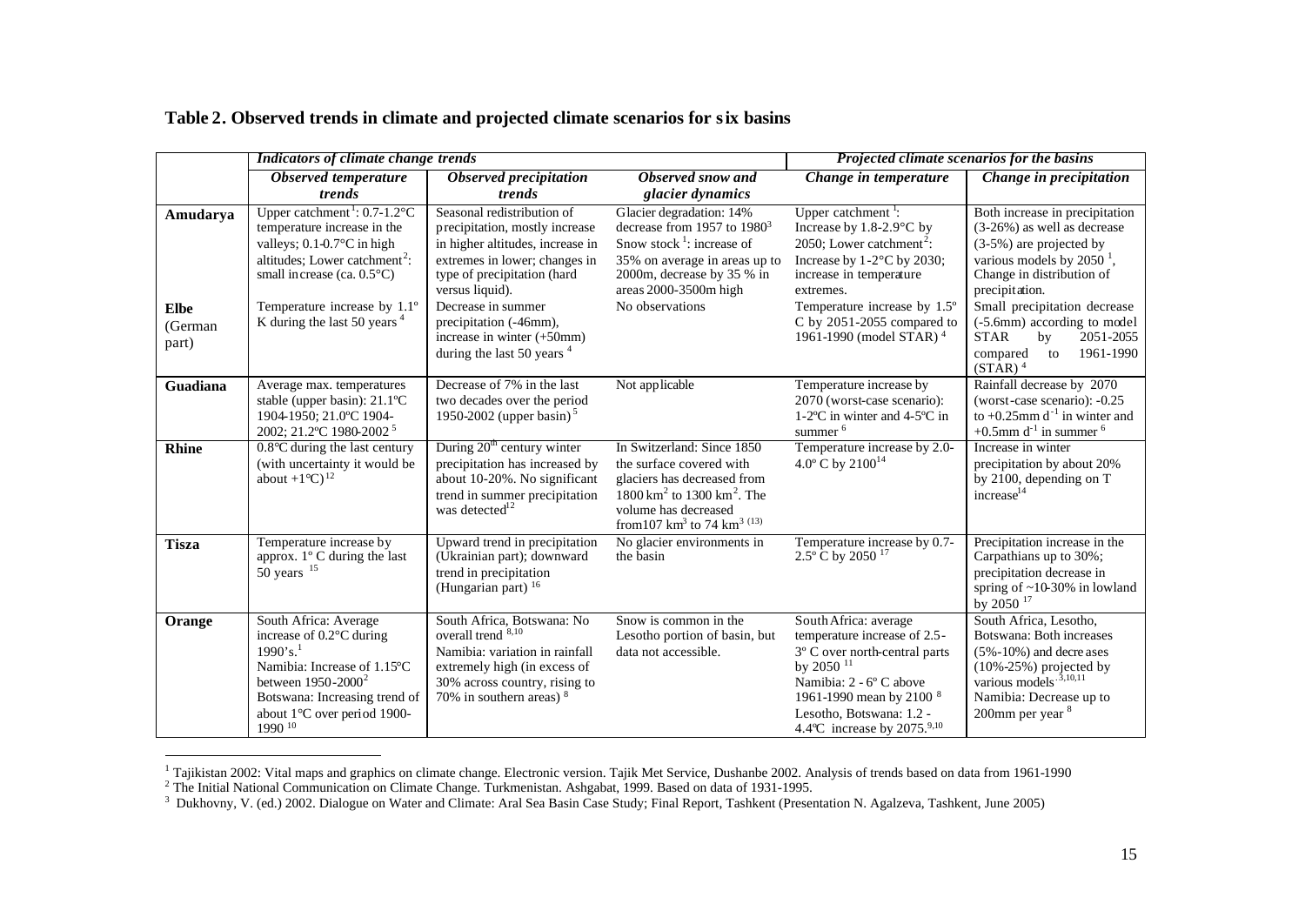|                                             | Indicators of climate change trends                                                                                                                                                                                                                                              |                                                                                                                                                                                                                                                                                                   | Projected climate scenarios for the basins                                                                                                                                                                                      |                                                                                                                                                                                                                                                                                  |                                                                                                                                                                                                                                                                                                                            |
|---------------------------------------------|----------------------------------------------------------------------------------------------------------------------------------------------------------------------------------------------------------------------------------------------------------------------------------|---------------------------------------------------------------------------------------------------------------------------------------------------------------------------------------------------------------------------------------------------------------------------------------------------|---------------------------------------------------------------------------------------------------------------------------------------------------------------------------------------------------------------------------------|----------------------------------------------------------------------------------------------------------------------------------------------------------------------------------------------------------------------------------------------------------------------------------|----------------------------------------------------------------------------------------------------------------------------------------------------------------------------------------------------------------------------------------------------------------------------------------------------------------------------|
|                                             | <b>Observed temperature</b><br>trends                                                                                                                                                                                                                                            | Observed precipitation<br>trends                                                                                                                                                                                                                                                                  | Observed snow and<br>glacier dynamics                                                                                                                                                                                           | Change in temperature                                                                                                                                                                                                                                                            | Change in precipitation                                                                                                                                                                                                                                                                                                    |
| Amudarya<br><b>Elbe</b><br>(German<br>part) | Upper catchment <sup>1</sup> : $0.7-1.2$ <sup>o</sup> C<br>temperature increase in the<br>valleys; $0.1 - 0.7$ °C in high<br>altitudes; Lower catchment <sup>2</sup> :<br>small increase (ca. $0.5^{\circ}$ C)<br>Temperature increase by 1.1°<br>K during the last 50 years $4$ | Seasonal redistribution of<br>precipitation, mostly increase<br>in higher altitudes, increase in<br>extremes in lower; changes in<br>type of precipitation (hard<br>versus liquid).<br>Decrease in summer<br>precipitation (-46mm),<br>increase in winter (+50mm)<br>during the last 50 years $4$ | Glacier degradation: 14%<br>decrease from 1957 to $1980^3$<br>Snow stock <sup>1</sup> : increase of<br>35% on average in areas up to<br>2000m, decrease by 35 % in<br>areas 2000-3500m high<br>No observations                  | Upper catchment <sup>1</sup> :<br>Increase by 1.8-2.9°C by<br>2050: Lower catchment <sup>2</sup> :<br>Increase by $1-2$ °C by 2030;<br>increase in temperature<br>extremes.<br>Temperature increase by 1.5°<br>C by 2051-2055 compared to<br>1961-1990 (model STAR) <sup>4</sup> | Both increase in precipitation<br>$(3-26%)$ as well as decrease<br>$(3-5%)$ are projected by<br>various models by 2050 $^1$ ,<br>Change in distribution of<br>precipitation.<br>Small precipitation decrease<br>(-5.6mm) according to model<br><b>STAR</b><br>2051-2055<br>by<br>1961-1990<br>to<br>compared<br>$(STAR)^4$ |
| Guadiana                                    | Average max. temperatures<br>stable (upper basin): 21.1°C<br>1904-1950; 21.0°C 1904-<br>2002; 21.2°C 1980-2002 <sup>5</sup>                                                                                                                                                      | Decrease of 7% in the last<br>two decades over the period<br>1950-2002 (upper basin) <sup>5</sup>                                                                                                                                                                                                 | Not applicable                                                                                                                                                                                                                  | Temperature increase by<br>2070 (worst-case scenario):<br>$1-2$ <sup>o</sup> C in winter and $4-5$ <sup>o</sup> C in<br>summer <sup>6</sup>                                                                                                                                      | Rainfall decrease by 2070<br>(worst-case scenario): -0.25<br>to +0.25mm $d^{-1}$ in winter and<br>+0.5mm $d^{-1}$ in summer $^6$                                                                                                                                                                                           |
| <b>Rhine</b>                                | $0.8^{\circ}$ C during the last century<br>(with uncertainty it would be<br>about $+1^{\circ}C$ ) <sup>12</sup>                                                                                                                                                                  | During $20th$ century winter<br>precipitation has increased by<br>about 10-20%. No significant<br>trend in summer precipitation<br>was detected $12$                                                                                                                                              | In Switzerland: Since 1850<br>the surface covered with<br>glaciers has decreased from<br>$1800 \text{ km}^2$ to $1300 \text{ km}^2$ . The<br>volume has decreased<br>from<br>107 $\mbox{km}^3$ to 74 $\mbox{km}^3$<br>$^{(13)}$ | Temperature increase by 2.0-<br>4.0° C by 2100 <sup>14</sup>                                                                                                                                                                                                                     | Increase in winter<br>precipitation by about 20%<br>by 2100, depending on T<br>increase <sup>14</sup>                                                                                                                                                                                                                      |
| <b>Tisza</b>                                | Temperature increase by<br>approx. 1° C during the last<br>$50$ years $15$                                                                                                                                                                                                       | Upward trend in precipitation<br>(Ukrainian part); downward<br>trend in precipitation<br>(Hungarian part) <sup>16</sup>                                                                                                                                                                           | No glacier environments in<br>the basin                                                                                                                                                                                         | Temperature increase by 0.7-<br>$2.5^{\circ}$ C by 2050 <sup>17</sup>                                                                                                                                                                                                            | Precipitation increase in the<br>Carpathians up to 30%;<br>precipitation decrease in<br>spring of $\sim$ 10-30% in lowland<br>by 2050 <sup>17</sup>                                                                                                                                                                        |
| Orange                                      | South Africa: Average<br>increase of 0.2°C during<br>1990's. <sup>1</sup><br>Namibia: Increase of 1.15°C<br>between $1950 - 2000^2$<br>Botswana: Increasing trend of<br>about 1°C over period 1900-<br>1990 10                                                                   | South Africa, Botswana: No<br>overall trend 8,10<br>Namibia: variation in rainfall<br>extremely high (in excess of<br>30% across country, rising to<br>70% in southern areas) $8$                                                                                                                 | Snow is common in the<br>Lesotho portion of basin, but<br>data not accessible.                                                                                                                                                  | South Africa: average<br>temperature increase of 2.5-<br>3° C over north-central parts<br>by 2050 $11$<br>Namibia: 2 - 6° C above<br>1961-1990 mean by 2100 8<br>Lesotho, Botswana: 1.2 -<br>4.4°C increase by 2075.9,10                                                         | South Africa, Lesotho,<br>Botswana: Both increases<br>$(5\% - 10\%)$ and decreases<br>$(10\% - 25\%)$ projected by<br>various models. <sup>3,10,11</sup><br>Namibia: Decrease up to<br>200mm per year <sup>8</sup>                                                                                                         |

## **Table 2. Observed trends in climate and projected climate scenarios for six basins**

<sup>1&</sup>lt;br>2 Tajikistan 2002: Vital maps and graphics on climate change. Electronic version. Tajik Met Service, Dushanbe 2002. Analysis of trends based on data from 1961-1990<br><sup>2</sup> The Initial National Communication on Climate Change